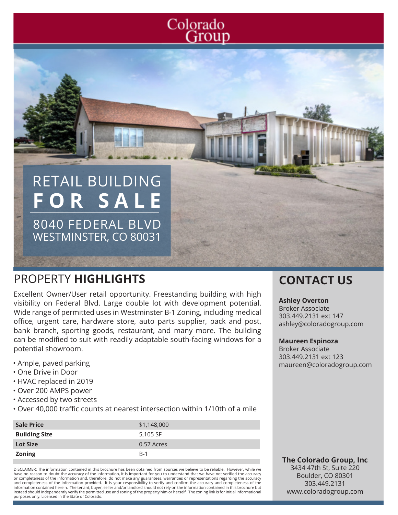## Colorado Group

## RETAIL BUILDING **FOR SALE**

8040 FEDERAL BLVD WESTMINSTER, CO 80031

## PROPERTY **HIGHLIGHTS CONTACT US**

Excellent Owner/User retail opportunity. Freestanding building with high visibility on Federal Blvd. Large double lot with development potential. Wide range of permitted uses in Westminster B-1 Zoning, including medical office, urgent care, hardware store, auto parts supplier, pack and post, bank branch, sporting goods, restaurant, and many more. The building can be modified to suit with readily adaptable south-facing windows for a potential showroom.

- Ample, paved parking
- One Drive in Door
- HVAC replaced in 2019
- Over 200 AMPS power
- Accessed by two streets
- Over 40,000 traffic counts at nearest intersection within 1/10th of a mile

| <b>Sale Price</b>    | \$1,148,000 |
|----------------------|-------------|
| <b>Building Size</b> | 5,105 SF    |
| <b>Lot Size</b>      | 0.57 Acres  |
| <b>Zoning</b>        | $B-1$       |

DISCLAIMER: The information contained in this brochure has been obtained from sources we believe to be reliable. However, while we have no reason to doubt the accuracy of the information, it is important for you to understand that we have not verified the accuracy or completeness of the information and, therefore, do not make any guarantees, warranties or representations regarding the accuracy<br>and completeness of the information provided. It is your responsibility to verify and con information contained herein. The tenant, buyer, seller and/or landlord should not rely on the information contained in this brochure but instead should independently verify the permitted use and zoning of the property him or herself. The zoning link is for initial informational purposes only. Licensed in the State of Colorado.

#### **Ashley Overton**

Broker Associate 303.449.2131 ext 147 ashley@coloradogroup.com

#### **Maureen Espinoza**

Broker Associate 303.449.2131 ext 123 maureen@coloradogroup.com

**The Colorado Group, Inc** 3434 47th St, Suite 220

Boulder, CO 80301 303.449.2131 www.coloradogroup.com